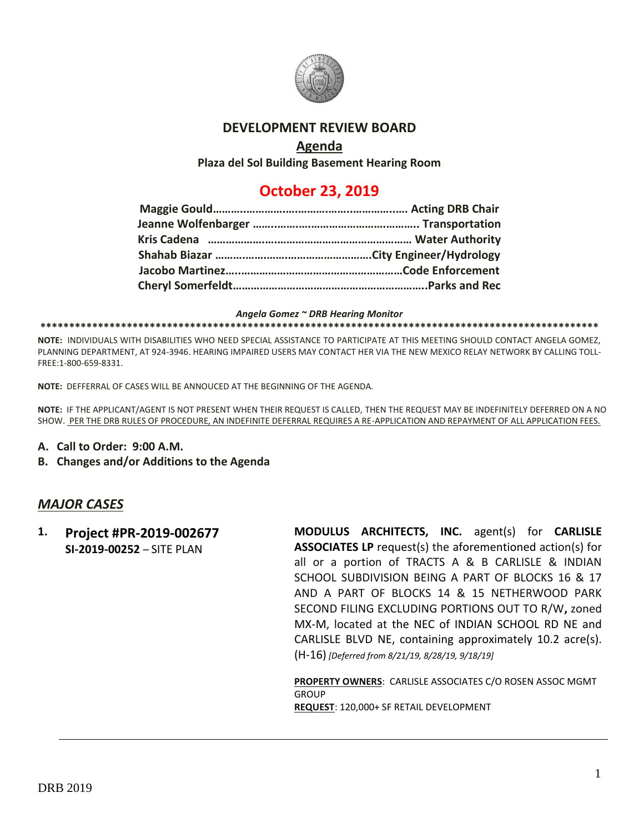

# **DEVELOPMENT REVIEW BOARD**

# **Agenda**

**Plaza del Sol Building Basement Hearing Room**

# **October 23, 2019**

#### *Angela Gomez ~ DRB Hearing Monitor*

#### **\*\*\*\*\*\*\*\*\*\*\*\*\*\*\*\*\*\*\*\*\*\*\*\*\*\*\*\*\*\*\*\*\*\*\*\*\*\*\*\*\*\*\*\*\*\*\*\*\*\*\*\*\*\*\*\*\*\*\*\*\*\*\*\*\*\*\*\*\*\*\*\*\*\*\*\*\*\*\*\*\*\*\*\*\*\*\*\*\*\*\*\*\*\*\*\*\***

**NOTE:** INDIVIDUALS WITH DISABILITIES WHO NEED SPECIAL ASSISTANCE TO PARTICIPATE AT THIS MEETING SHOULD CONTACT ANGELA GOMEZ, PLANNING DEPARTMENT, AT 924-3946. HEARING IMPAIRED USERS MAY CONTACT HER VIA THE NEW MEXICO RELAY NETWORK BY CALLING TOLL-FREE:1-800-659-8331.

**NOTE:** DEFFERRAL OF CASES WILL BE ANNOUCED AT THE BEGINNING OF THE AGENDA.

**NOTE:** IF THE APPLICANT/AGENT IS NOT PRESENT WHEN THEIR REQUEST IS CALLED, THEN THE REQUEST MAY BE INDEFINITELY DEFERRED ON A NO SHOW. PER THE DRB RULES OF PROCEDURE, AN INDEFINITE DEFERRAL REQUIRES A RE-APPLICATION AND REPAYMENT OF ALL APPLICATION FEES.

- **A. Call to Order: 9:00 A.M.**
- **B. Changes and/or Additions to the Agenda**

## *MAJOR CASES*

**1. Project #PR-2019-002677 SI-2019-00252** – SITE PLAN **MODULUS ARCHITECTS, INC.** agent(s) for **CARLISLE ASSOCIATES LP** request(s) the aforementioned action(s) for all or a portion of TRACTS A & B CARLISLE & INDIAN SCHOOL SUBDIVISION BEING A PART OF BLOCKS 16 & 17 AND A PART OF BLOCKS 14 & 15 NETHERWOOD PARK SECOND FILING EXCLUDING PORTIONS OUT TO R/W**,** zoned MX-M, located at the NEC of INDIAN SCHOOL RD NE and CARLISLE BLVD NE, containing approximately 10.2 acre(s). (H-16) *[Deferred from 8/21/19, 8/28/19, 9/18/19]*

> **PROPERTY OWNERS**: CARLISLE ASSOCIATES C/O ROSEN ASSOC MGMT **GROUP REQUEST**: 120,000+ SF RETAIL DEVELOPMENT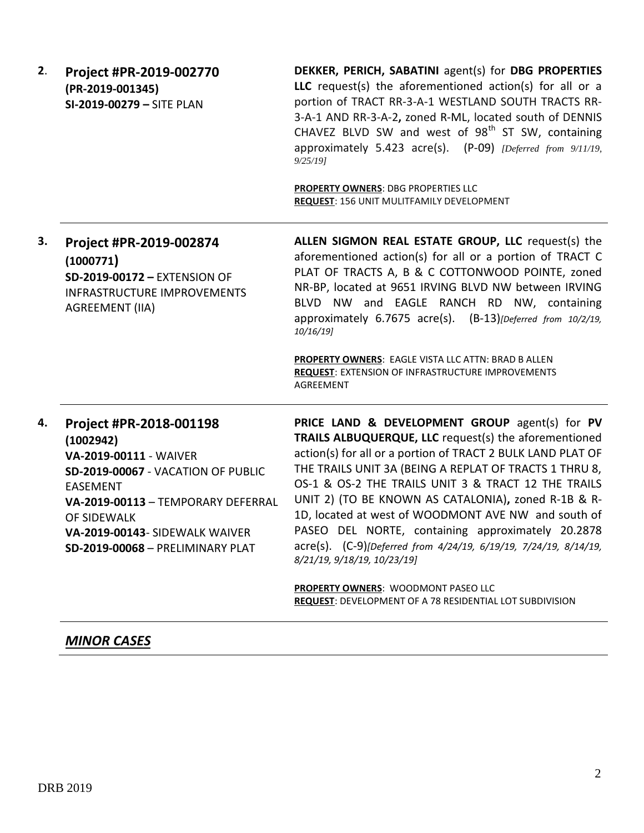**2**. **Project #PR-2019-002770 (PR-2019-001345) SI-2019-00279 –** SITE PLAN

**DEKKER, PERICH, SABATINI** agent(s) for **DBG PROPERTIES LLC** request(s) the aforementioned action(s) for all or a portion of TRACT RR-3-A-1 WESTLAND SOUTH TRACTS RR-3-A-1 AND RR-3-A-2**,** zoned R-ML, located south of DENNIS CHAVEZ BLVD SW and west of  $98<sup>th</sup>$  ST SW, containing approximately 5.423 acre(s). (P-09) *[Deferred from 9/11/19, 9/25/19]*

**PROPERTY OWNERS**: DBG PROPERTIES LLC **REQUEST**: 156 UNIT MULITFAMILY DEVELOPMENT

**3. Project #PR-2019-002874 (1000771) SD-2019-00172 –** EXTENSION OF INFRASTRUCTURE IMPROVEMENTS AGREEMENT (IIA) **ALLEN SIGMON REAL ESTATE GROUP, LLC** request(s) the aforementioned action(s) for all or a portion of TRACT C PLAT OF TRACTS A, B & C COTTONWOOD POINTE, zoned NR-BP, located at 9651 IRVING BLVD NW between IRVING BLVD NW and EAGLE RANCH RD NW, containing approximately 6.7675 acre(s). (B-13)*[Deferred from 10/2/19, 10/16/19]*

> **PROPERTY OWNERS**: EAGLE VISTA LLC ATTN: BRAD B ALLEN **REQUEST**: EXTENSION OF INFRASTRUCTURE IMPROVEMENTS AGREEMENT

**4. Project #PR-2018-001198 (1002942) VA-2019-00111** - WAIVER **SD-2019-00067** - VACATION OF PUBLIC EASEMENT **VA-2019-00113** – TEMPORARY DEFERRAL OF SIDEWALK **VA-2019-00143**- SIDEWALK WAIVER **SD-2019-00068** – PRELIMINARY PLAT

**PRICE LAND & DEVELOPMENT GROUP** agent(s) for **PV TRAILS ALBUQUERQUE, LLC** request(s) the aforementioned action(s) for all or a portion of TRACT 2 BULK LAND PLAT OF THE TRAILS UNIT 3A (BEING A REPLAT OF TRACTS 1 THRU 8, OS-1 & OS-2 THE TRAILS UNIT 3 & TRACT 12 THE TRAILS UNIT 2) (TO BE KNOWN AS CATALONIA)**,** zoned R-1B & R-1D, located at west of WOODMONT AVE NW and south of PASEO DEL NORTE, containing approximately 20.2878 acre(s). (C-9)*[Deferred from 4/24/19, 6/19/19, 7/24/19, 8/14/19, 8/21/19, 9/18/19, 10/23/19]*

**PROPERTY OWNERS**: WOODMONT PASEO LLC **REQUEST**: DEVELOPMENT OF A 78 RESIDENTIAL LOT SUBDIVISION

## *MINOR CASES*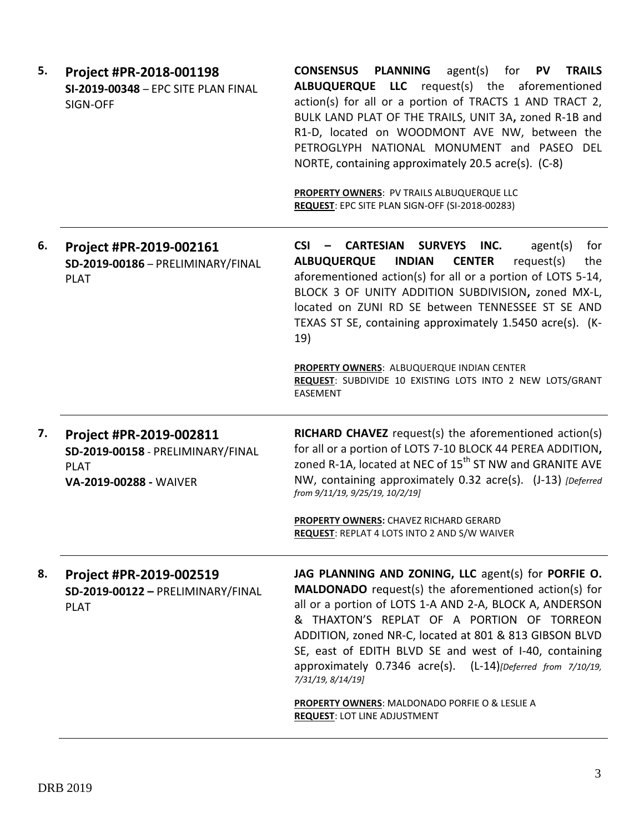| 5. | Project #PR-2018-001198<br>SI-2019-00348 - EPC SITE PLAN FINAL<br>SIGN-OFF                            | <b>PLANNING</b><br><b>CONSENSUS</b><br>agent(s) for $PV$<br><b>TRAILS</b><br>ALBUQUERQUE LLC request(s) the aforementioned<br>action(s) for all or a portion of TRACTS 1 AND TRACT 2,<br>BULK LAND PLAT OF THE TRAILS, UNIT 3A, zoned R-1B and<br>R1-D, located on WOODMONT AVE NW, between the<br>PETROGLYPH NATIONAL MONUMENT and PASEO DEL<br>NORTE, containing approximately 20.5 acre(s). (C-8)<br>PROPERTY OWNERS: PV TRAILS ALBUQUERQUE LLC<br>REQUEST: EPC SITE PLAN SIGN-OFF (SI-2018-00283)                             |
|----|-------------------------------------------------------------------------------------------------------|-----------------------------------------------------------------------------------------------------------------------------------------------------------------------------------------------------------------------------------------------------------------------------------------------------------------------------------------------------------------------------------------------------------------------------------------------------------------------------------------------------------------------------------|
| 6. | Project #PR-2019-002161<br>SD-2019-00186 - PRELIMINARY/FINAL<br><b>PLAT</b>                           | $CSI -$<br>CARTESIAN<br><b>SURVEYS</b><br>INC.<br>agent(s)<br>for<br>request(s)<br><b>ALBUQUERQUE</b><br><b>INDIAN</b><br><b>CENTER</b><br>the<br>aforementioned action(s) for all or a portion of LOTS 5-14,<br>BLOCK 3 OF UNITY ADDITION SUBDIVISION, zoned MX-L,<br>located on ZUNI RD SE between TENNESSEE ST SE AND<br>TEXAS ST SE, containing approximately 1.5450 acre(s). (K-<br>19)                                                                                                                                      |
|    |                                                                                                       | PROPERTY OWNERS: ALBUQUERQUE INDIAN CENTER<br>REQUEST: SUBDIVIDE 10 EXISTING LOTS INTO 2 NEW LOTS/GRANT<br><b>EASEMENT</b>                                                                                                                                                                                                                                                                                                                                                                                                        |
| 7. | Project #PR-2019-002811<br>SD-2019-00158 - PRELIMINARY/FINAL<br><b>PLAT</b><br>VA-2019-00288 - WAIVER | <b>RICHARD CHAVEZ</b> request(s) the aforementioned action(s)<br>for all or a portion of LOTS 7-10 BLOCK 44 PEREA ADDITION,<br>zoned R-1A, located at NEC of 15 <sup>th</sup> ST NW and GRANITE AVE<br>NW, containing approximately 0.32 acre(s). (J-13) [Deferred<br>from 9/11/19, 9/25/19, 10/2/19]                                                                                                                                                                                                                             |
|    |                                                                                                       | PROPERTY OWNERS: CHAVEZ RICHARD GERARD<br><b>REQUEST:</b> REPLAT 4 LOTS INTO 2 AND S/W WAIVER                                                                                                                                                                                                                                                                                                                                                                                                                                     |
| 8. | Project #PR-2019-002519<br>SD-2019-00122 - PRELIMINARY/FINAL<br><b>PLAT</b>                           | JAG PLANNING AND ZONING, LLC agent(s) for PORFIE O.<br>MALDONADO request(s) the aforementioned action(s) for<br>all or a portion of LOTS 1-A AND 2-A, BLOCK A, ANDERSON<br>& THAXTON'S REPLAT OF A PORTION OF TORREON<br>ADDITION, zoned NR-C, located at 801 & 813 GIBSON BLVD<br>SE, east of EDITH BLVD SE and west of I-40, containing<br>approximately 0.7346 acre(s). (L-14)[Deferred from 7/10/19,<br>7/31/19, 8/14/19]<br><b>PROPERTY OWNERS: MALDONADO PORFIE O &amp; LESLIE A</b><br><b>REQUEST: LOT LINE ADJUSTMENT</b> |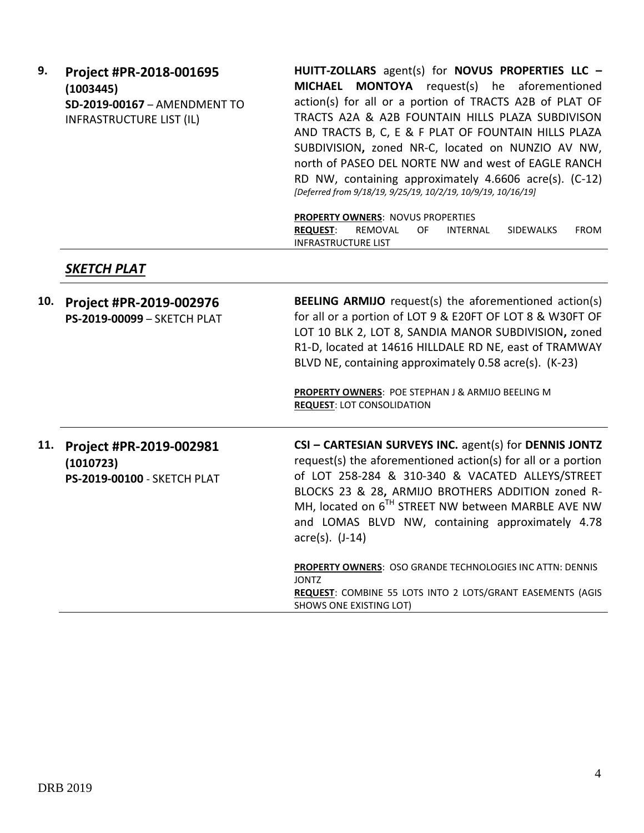| 9.                       | Project #PR-2018-001695      | HUITT-ZOLLARS agent(s) for NOVUS PROPERTIES LLC -            |
|--------------------------|------------------------------|--------------------------------------------------------------|
|                          | (1003445)                    | MICHAEL MONTOYA request(s) he aforementioned                 |
|                          | SD-2019-00167 - AMENDMENT TO | action(s) for all or a portion of TRACTS A2B of PLAT OF      |
| INFRASTRUCTURE LIST (IL) |                              | TRACTS A2A & A2B FOUNTAIN HILLS PLAZA SUBDIVISON             |
|                          |                              | AND TRACTS B, C, E & F PLAT OF FOUNTAIN HILLS PLAZA          |
|                          |                              | SUBDIVISION, zoned NR-C, located on NUNZIO AV NW,            |
|                          |                              | north of PASEO DEL NORTE NW and west of EAGLE RANCH          |
|                          |                              | RD NW, containing approximately 4.6606 acre(s). (C-12)       |
|                          |                              | [Deferred from 9/18/19, 9/25/19, 10/2/19, 10/9/19, 10/16/19] |
|                          |                              |                                                              |
|                          |                              | <b>PROPERTY OWNERS: NOVUS PROPERTIES</b>                     |

**REQUEST**: REMOVAL OF INTERNAL SIDEWALKS FROM INFRASTRUCTURE LIST

### *SKETCH PLAT*

|  | 10. Project #PR-2019-002976        | <b>BEELING ARMIJO</b> request(s) the aforementioned action(s) |
|--|------------------------------------|---------------------------------------------------------------|
|  | <b>PS-2019-00099 - SKETCH PLAT</b> | for all or a portion of LOT 9 & E20FT OF LOT 8 & W30FT OF     |
|  |                                    | LOT 10 BLK 2, LOT 8, SANDIA MANOR SUBDIVISION, zoned          |
|  |                                    | R1-D, located at 14616 HILLDALE RD NE, east of TRAMWAY        |
|  |                                    | BLVD NE, containing approximately 0.58 acre(s). (K-23)        |
|  |                                    | <b>PROPERTY OWNERS: POE STEPHAN J &amp; ARMIJO BEELING M</b>  |

**PROPERTY OWNERS**: POE STEPHAN J & ARMIJO BEELING M **REQUEST**: LOT CONSOLIDATION

**11. Project #PR-2019-002981 (1010723) PS-2019-00100** - SKETCH PLAT **CSI – CARTESIAN SURVEYS INC.** agent(s) for **DENNIS JONTZ** request(s) the aforementioned action(s) for all or a portion of LOT 258-284 & 310-340 & VACATED ALLEYS/STREET BLOCKS 23 & 28**,** ARMIJO BROTHERS ADDITION zoned R-MH, located on 6<sup>TH</sup> STREET NW between MARBLE AVE NW and LOMAS BLVD NW, containing approximately 4.78 acre(s). (J-14) **PROPERTY OWNERS**: OSO GRANDE TECHNOLOGIES INC ATTN: DENNIS JONTZ **REQUEST**: COMBINE 55 LOTS INTO 2 LOTS/GRANT EASEMENTS (AGIS

SHOWS ONE EXISTING LOT)